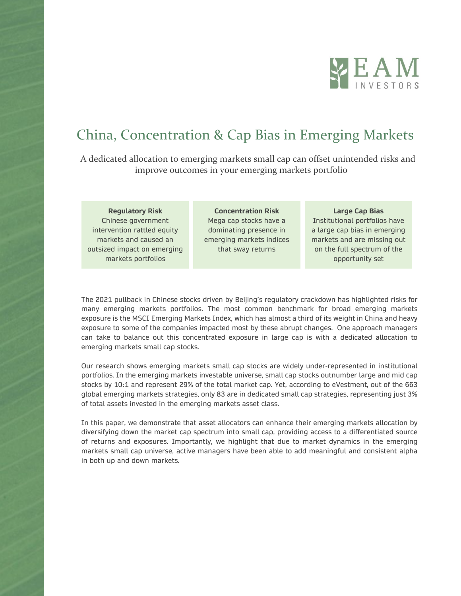

# China, Concentration & Cap Bias in Emerging Markets

 A dedicated allocation to emerging markets small cap can offset unintended risks and improve outcomes in your emerging markets portfolio

**Regulatory Risk** Chinese government intervention rattled equity markets and caused an outsized impact on emerging markets portfolios

**Concentration Risk** Mega cap stocks have a dominating presence in emerging markets indices that sway returns

#### **Large Cap Bias** Institutional portfolios have a large cap bias in emerging

markets and are missing out on the full spectrum of the opportunity set

The 2021 pullback in Chinese stocks driven by Beijing's regulatory crackdown has highlighted risks for many emerging markets portfolios. The most common benchmark for broad emerging markets exposure is the MSCI Emerging Markets Index, which has almost a third of its weight in China and heavy exposure to some of the companies impacted most by these abrupt changes. One approach managers can take to balance out this concentrated exposure in large cap is with a dedicated allocation to emerging markets small cap stocks.

Our research shows emerging markets small cap stocks are widely under-represented in institutional portfolios. In the emerging markets investable universe, small cap stocks outnumber large and mid cap stocks by 10:1 and represent 29% of the total market cap. Yet, according to eVestment, out of the 663 global emerging markets strategies, only 83 are in dedicated small cap strategies, representing just 3% of total assets invested in the emerging markets asset class.

In this paper, we demonstrate that asset allocators can enhance their emerging markets allocation by diversifying down the market cap spectrum into small cap, providing access to a differentiated source of returns and exposures. Importantly, we highlight that due to market dynamics in the emerging markets small cap universe, active managers have been able to add meaningful and consistent alpha in both up and down markets.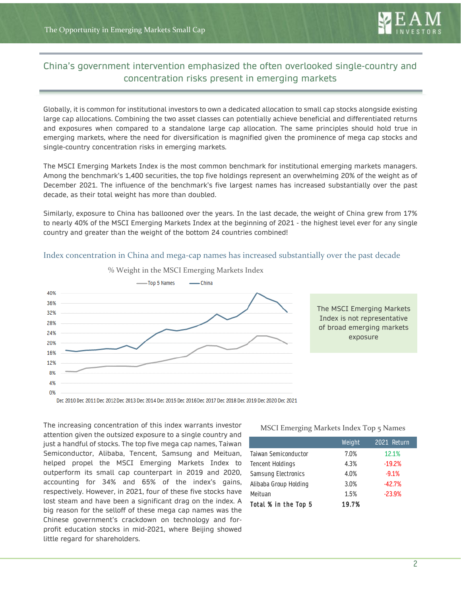

# China's government intervention emphasized the often overlooked single-country and China's government intervention emphasized the often overlooked single-country and concentration risks present in emerging markets concentration risks present in emerging markets

Globally, it is common for institutional investors to own a dedicated allocation to small cap stocks alongside existing large cap allocations. Combining the two asset classes can potentially achieve beneficial and differentiated returns and exposures when compared to a standalone large cap allocation. The same principles should hold true in emerging markets, where the need for diversification is magnified given the prominence of mega cap stocks and single-country concentration risks in emerging markets.

The MSCI Emerging Markets Index is the most common benchmark for institutional emerging markets managers. Among the benchmark's 1,400 securities, the top five holdings represent an overwhelming 20% of the weight as of December 2021. The influence of the benchmark's five largest names has increased substantially over the past decade, as their total weight has more than doubled.

Similarly, exposure to China has ballooned over the years. In the last decade, the weight of China grew from 17% to nearly 40% of the MSCI Emerging Markets Index at the beginning of 2021 - the highest level ever for any single country and greater than the weight of the bottom 24 countries combined!



Index concentration in China and mega-cap names has increased substantially over the past decade

The increasing concentration of this index warrants investor attention given the outsized exposure to a single country and just a handful of stocks. The top five mega cap names, Taiwan Semiconductor, Alibaba, Tencent, Samsung and Meituan, helped propel the MSCI Emerging Markets Index to outperform its small cap counterpart in 2019 and 2020, accounting for 34% and 65% of the index's gains, respectively. However, in 2021, four of these five stocks have lost steam and have been a significant drag on the index. A big reason for the selloff of these mega cap names was the Chinese government's crackdown on technology and forprofit education stocks in mid-2021, where Beijing showed little regard for shareholders.

MSCI Emerging Markets Index Top 5 Names

|                         | Weight | 2021 Return |
|-------------------------|--------|-------------|
| Taiwan Semiconductor    | 7.0%   | 12.1%       |
| <b>Tencent Holdings</b> | 4.3%   | $-19.2%$    |
| Samsung Electronics     | 4.0%   | $-9.1%$     |
| Alibaba Group Holding   | 3.0%   | $-42.7%$    |
| Meituan                 | 1.5%   | $-23.9%$    |
| Total % in the Top 5    | 19.7%  |             |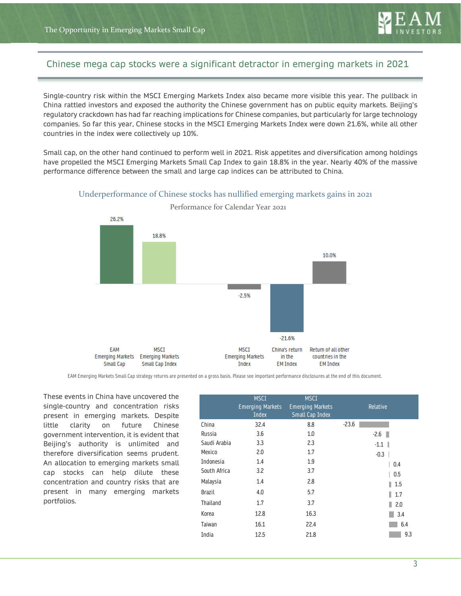

## Chinese mega cap stocks were a significant detractor in emerging markets in 2021

Single-country risk within the MSCI Emerging Markets Index also became more visible this year. The pullback in China rattled investors and exposed the authority the Chinese government has on public equity markets. Beijing's regulatory crackdown has had far reaching implications for Chinese companies, but particularly for large technology companies. So far this year, Chinese stocks in the MSCI Emerging Markets Index were down 21.6%, while all other countries in the index were collectively up 10%.

Small cap, on the other hand continued to perform well in 2021. Risk appetites and diversification among holdings have propelled the MSCI Emerging Markets Small Cap Index to gain 18.8% in the year. Nearly 40% of the massive performance difference between the small and large cap indices can be attributed to China.



Underperformance of Chinese stocks has nullified emerging markets gains in 2021

Performance for Calendar Year 2021

EAM Emerging Markets Small Cap strategy returns are presented on a gross basis. Please see important performance disclosures at the end of this document.

These events in China have uncovered the single-country and concentration risks present in emerging markets. Despite little clarity on future Chinese government intervention, it is evident that Beijing's authority is unlimited and therefore diversification seems prudent. An allocation to emerging markets small cap stocks can help dilute these concentration and country risks that are present in many emerging markets portfolios.

|               | <b>MSCI</b><br><b>Emerging Markets</b><br>Index | <b>MSCI</b><br><b>Emerging Markets</b><br><b>Small Cap Index</b> | Relative           |
|---------------|-------------------------------------------------|------------------------------------------------------------------|--------------------|
| China         | 32.4                                            | 8.8                                                              | $-23.6$            |
| Russia        | 3.6                                             | 1.0                                                              | $-2.6$             |
| Saudi Arabia  | 3.3                                             | 2.3                                                              | $-1.1$             |
| Mexico        | 2.0                                             | 1.7                                                              | $-0.3$             |
| Indonesia     | 1.4                                             | 1.9                                                              | 0.4                |
| South Africa  | 3.2                                             | 3.7                                                              | 0.5                |
| Malaysia      | 1.4                                             | 2.8                                                              | $\blacksquare$ 1.5 |
| <b>Brazil</b> | 4.0                                             | 5.7                                                              | 1.7                |
| Thailand      | 1.7                                             | 3.7                                                              | 2.0<br>ш           |
| Korea         | 12.8                                            | 16.3                                                             | 3.4                |
| Taiwan        | 16.1                                            | 22.4                                                             | 6.4                |
| India         | 12.5                                            | 21.8                                                             | 9.3                |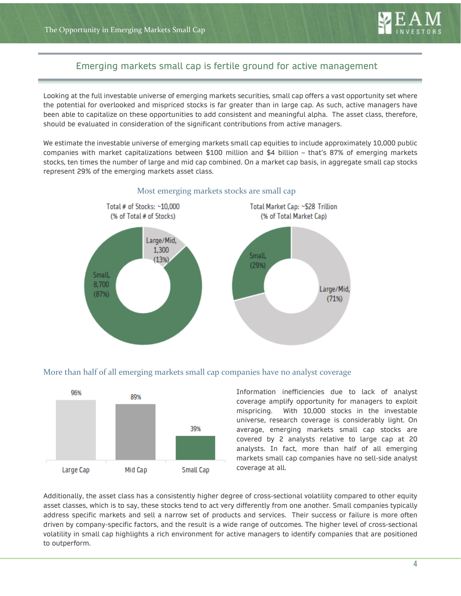

# Emerging markets small cap is fertile ground for active management Emerging markets small cap is fertile ground for active management

Looking at the full investable universe of emerging markets securities, small cap offers a vast opportunity set where the potential for overlooked and mispriced stocks is far greater than in large cap. As such, active managers have been able to capitalize on these opportunities to add consistent and meaningful alpha. The asset class, therefore, should be evaluated in consideration of the significant contributions from active managers.

We estimate the investable universe of emerging markets small cap equities to include approximately 10,000 public companies with market capitalizations between \$100 million and \$4 billion – that's 87% of emerging markets stocks, ten times the number of large and mid cap combined. On a market cap basis, in aggregate small cap stocks represent 29% of the emerging markets asset class.



#### Most emerging markets stocks are small cap

#### More than half of all emerging markets small cap companies have no analyst coverage



Information inefficiencies due to lack of analyst coverage amplify opportunity for managers to exploit mispricing. With 10,000 stocks in the investable universe, research coverage is considerably light. On average, emerging markets small cap stocks are covered by 2 analysts relative to large cap at 20 analysts. In fact, more than half of all emerging markets small cap companies have no sell-side analyst coverage at all.

Additionally, the asset class has a consistently higher degree of cross-sectional volatility compared to other equity asset classes, which is to say, these stocks tend to act very differently from one another. Small companies typically address specific markets and sell a narrow set of products and services. Their success or failure is more often driven by company-specific factors, and the result is a wide range of outcomes. The higher level of cross-sectional volatility in small cap highlights a rich environment for active managers to identify companies that are positioned to outperform.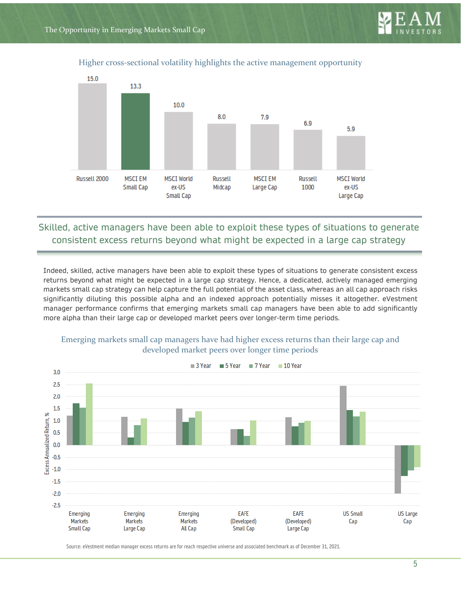

#### Higher cross-sectional volatility highlights the active management opportunity



# Skilled, active managers have been able to exploit these types of situations to generate consistent excess returns beyond what might be expected in a large cap strategy

Indeed, skilled, active managers have been able to exploit these types of situations to generate consistent excess returns beyond what might be expected in a large cap strategy. Hence, a dedicated, actively managed emerging markets small cap strategy can help capture the full potential of the asset class, whereas an all cap approach risks significantly diluting this possible alpha and an indexed approach potentially misses it altogether. eVestment manager performance confirms that emerging markets small cap managers have been able to add significantly more alpha than their large cap or developed market peers over longer-term time periods.



#### Emerging markets small cap managers have had higher excess returns than their large cap and developed market peers over longer time periods

Source: eVestment median manager excess returns are for reach respective universe and associated benchmark as of December 31, 2021.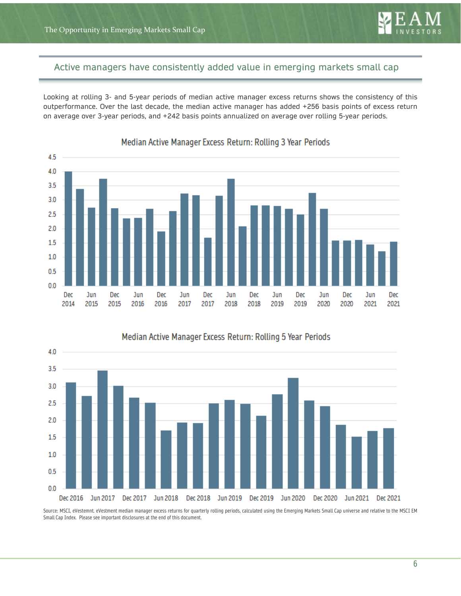

## Active managers have consistently added value in emerging markets small cap

Looking at rolling 3- and 5-year periods of median active manager excess returns shows the consistency of this outperformance. Over the last decade, the median active manager has added +256 basis points of excess return on average over 3-year periods, and +242 basis points annualized on average over rolling 5-year periods.



## Median Active Manager Excess Return: Rolling 3 Year Periods



Median Active Manager Excess Return: Rolling 5 Year Periods

Source: MSCI, eVestemnt. eVestment median manager excess returns for quarterly rolling periods, calculated using the Emerging Markets Small Cap universe and relative to the MSCI EM Small Cap Index. Please see important disclosures at the end of this document.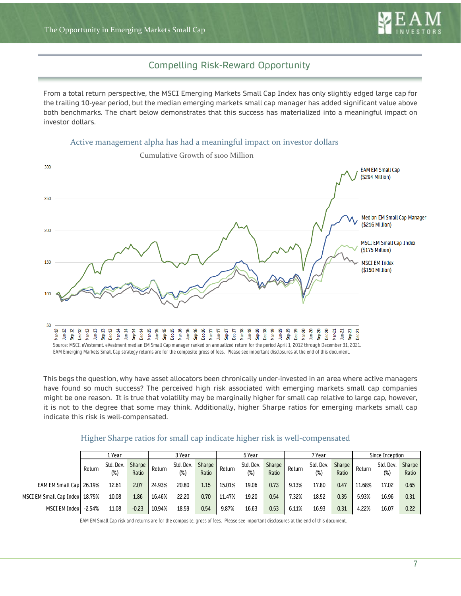

## Compelling Risk-Reward Opportunity

From a total return perspective, the MSCI Emerging Markets Small Cap Index has only slightly edged large cap for the trailing 10-year period, but the median emerging markets small cap manager has added significant value above both benchmarks. The chart below demonstrates that this success has materialized into a meaningful impact on investor dollars.





This begs the question, why have asset allocators been chronically under-invested in an area where active managers have found so much success? The perceived high risk associated with emerging markets small cap companies might be one reason. It is true that volatility may be marginally higher for small cap relative to large cap, however, it is not to the degree that some may think. Additionally, higher Sharpe ratios for emerging markets small cap indicate this risk is well-compensated.

|                                |          | 3 Year<br>1 Year    |                   | 5 Year |                     | 7 Year          |        | Since Inception     |                 |        |                  |                 |        |                     |                 |
|--------------------------------|----------|---------------------|-------------------|--------|---------------------|-----------------|--------|---------------------|-----------------|--------|------------------|-----------------|--------|---------------------|-----------------|
|                                | Return   | Std. Dev.<br>$(\%)$ | Sharpe  <br>Ratio | Return | Std. Dev.<br>$(\%)$ | Sharpe<br>Ratio | Return | Std. Dev.<br>$(\%)$ | Sharpe<br>Ratio | Return | Std. Dev.<br>(%) | Sharpe<br>Ratio | Return | Std. Dev.<br>$(\%)$ | Sharpe<br>Ratio |
| EAM EM Small Cap 26.19%        |          | 12.61               | 2.07              | 24.93% | 20.80               | 1.15            | 15.01% | 19.06               | 0.73            | 9.13%  | 17.80            | 0.47            | 11.68% | 17.02               | 0.65            |
| MSCI EM Small Cap Index 18.75% |          | 10.08               | 1.86              | 16.46% | 22.20               | 0.70            | 11.47% | 19.20               | 0.54            | 7.32%  | 18.52            | 0.35            | 5.93%  | 16.96               | 0.31            |
| MSCI EM Index                  | $-2.54%$ | 11.08               | $-0.23$           | 10.94% | 18.59               | 0.54            | 9.87%  | 16.63               | 0.53            | 6.11%  | 16.93            | 0.31            | 4.22%  | 16.07               | 0.22            |

#### Higher Sharpe ratios for small cap indicate higher risk is well-compensated

EAM EM Small Cap risk and returns are for the composite, gross of fees. Please see important disclosures at the end of this document.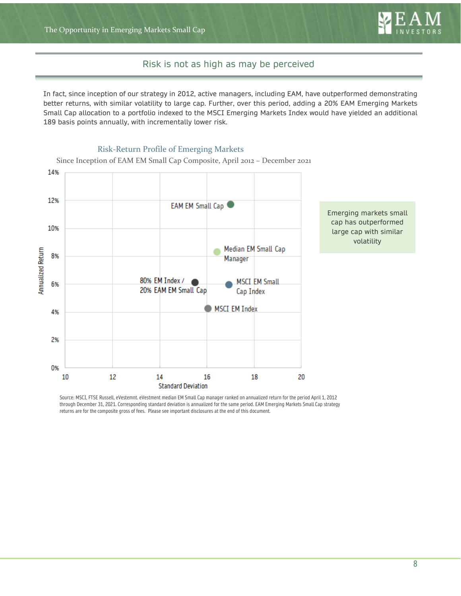

## Risk is not as high as may be perceived

In fact, since inception of our strategy in 2012, active managers, including EAM, have outperformed demonstrating better returns, with similar volatility to large cap. Further, over this period, adding a 20% EAM Emerging Markets Small Cap allocation to a portfolio indexed to the MSCI Emerging Markets Index would have yielded an additional 189 basis points annually, with incrementally lower risk.



Risk-Return Profile of Emerging Markets

Source: MSCI, FTSE Russell, eVestemnt. eVestment median EM Small Cap manager ranked on annualized return for the period April 1, 2012 through December 31, 2021. Corresponding standard deviation is annualized for the same period. EAM Emerging Markets Small Cap strategy returns are for the composite gross of fees. Please see important disclosures at the end of this document.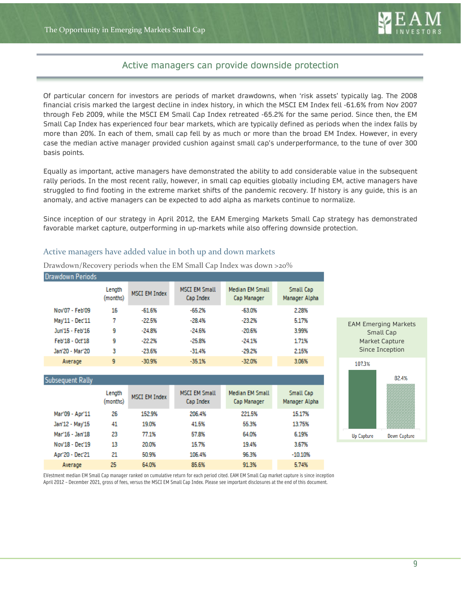

## Active managers can provide downside protection Active managers can provide downside protection

Of particular concern for investors are periods of market drawdowns, when 'risk assets' typically lag. The 2008 financial crisis marked the largest decline in index history, in which the MSCI EM Index fell -61.6% from Nov 2007 through Feb 2009, while the MSCI EM Small Cap Index retreated -65.2% for the same period. Since then, the EM Small Cap Index has experienced four bear markets, which are typically defined as periods when the index falls by more than 20%. In each of them, small cap fell by as much or more than the broad EM Index. However, in every case the median active manager provided cushion against small cap's underperformance, to the tune of over 300 basis points.

Equally as important, active managers have demonstrated the ability to add considerable value in the subsequent rally periods. In the most recent rally, however, in small cap equities globally including EM, active managers have struggled to find footing in the extreme market shifts of the pandemic recovery. If history is any guide, this is an anomaly, and active managers can be expected to add alpha as markets continue to normalize.

Since inception of our strategy in April 2012, the EAM Emerging Markets Small Cap strategy has demonstrated favorable market capture, outperforming in up-markets while also offering downside protection.

#### Active managers have added value in both up and down markets

| <b>Drawdown Periods</b> |                    |                      |                                   |                                       |                            |
|-------------------------|--------------------|----------------------|-----------------------------------|---------------------------------------|----------------------------|
|                         | Length<br>(months) | <b>MSCI EM Index</b> | <b>MSCI EM Small</b><br>Cap Index | <b>Median EM Small</b><br>Cap Manager | Small Cap<br>Manager Alpha |
| Nov'07 - Feb'09         | 16                 | $-61.6%$             | $-65.2%$                          | $-63.0%$                              | 2.28%                      |
| May'11 - Dec'11         |                    | $-22.5%$             | $-28.4%$                          | $-23.2%$                              | 5.17%                      |
| Jun'15 - Feb'16         | 9                  | $-24.8%$             | $-24.6%$                          | $-20.6%$                              | 3.99%                      |
| Feb'18 - Oct'18         | 9                  | $-22.2%$             | $-25.8%$                          | $-24.1%$                              | 1.71%                      |
| Jan'20 - Mar'20         | 3                  | $-23.6%$             | $-31.4%$                          | $-29.2%$                              | 2.15%                      |
| Average                 | 9                  | $-30.9%$             | $-35.1%$                          | $-32.0%$                              | 3.06%                      |

Drawdown/Recovery periods when the EM Small Cap Index was down >20%

| Subsequent Rally |                    |                      |                                   |                                       |                            |
|------------------|--------------------|----------------------|-----------------------------------|---------------------------------------|----------------------------|
|                  | Length<br>(months) | <b>MSCI EM Index</b> | <b>MSCI EM Small</b><br>Cap Index | <b>Median EM Small</b><br>Cap Manager | Small Cap<br>Manager Alpha |
| Mar'09 - Apr'11  | 26                 | 152.9%               | 206.4%                            | 221.5%                                | 15.17%                     |
| Jan'12 - May'15  | 41                 | 19.0%                | 41.5%                             | 55.3%                                 | 13.75%                     |
| Mar'16 - Jan'18  | 23                 | 77.1%                | 57.8%                             | 64.0%                                 | 6.19%                      |
| Nov'18 - Dec'19  | 13                 | 20.0%                | 15.7%                             | 19.4%                                 | 3.67%                      |
| Apr'20 - Dec'21  | 21                 | 50.9%                | 106.4%                            | 96.3%                                 | $-10.10%$                  |
| Average          | 25                 | 64.0%                | 85.6%                             | 913%                                  | 5.74%                      |



EAM Emerging Markets

EVestment median EM Small Cap manager ranked on cumulative return for each period cited. EAM EM Small Cap market capture is since inception April 2012 – December 2021, gross of fees, versus the MSCI EM Small Cap Index. Please see important disclosures at the end of this document.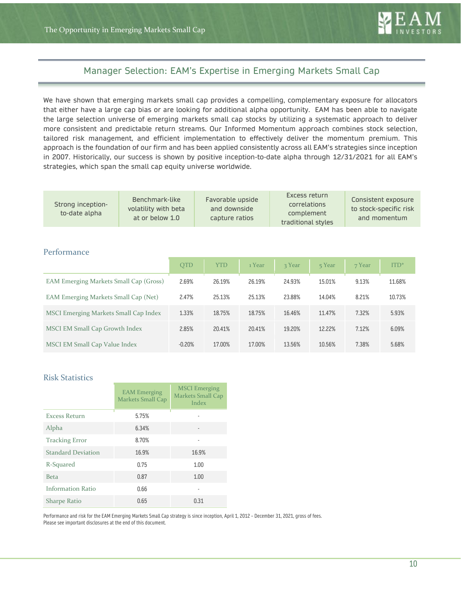

## Manager Selection: EAM's Expertise in Emerging Markets Small Cap Manager Selection: EAM's Expertise in Emerging Markets Small Cap

We have shown that emerging markets small cap provides a compelling, complementary exposure for allocators that either have a large cap bias or are looking for additional alpha opportunity. EAM has been able to navigate the large selection universe of emerging markets small cap stocks by utilizing a systematic approach to deliver more consistent and predictable return streams. Our Informed Momentum approach combines stock selection, tailored risk management, and efficient implementation to effectively deliver the momentum premium. This approach is the foundation of our firm and has been applied consistently across all EAM's strategies since inception in 2007. Historically, our success is shown by positive inception-to-date alpha through 12/31/2021 for all EAM's strategies, which span the small cap equity universe worldwide.

| Strong inception-<br>to-date alpha | Benchmark-like<br>volatility with beta<br>at or below 1.0 | Favorable upside<br>and downside<br>capture ratios | Excess return<br><b>correlations</b><br>complement<br>traditional styles | Consistent exposure<br>to stock-specific risk<br>and momentum |
|------------------------------------|-----------------------------------------------------------|----------------------------------------------------|--------------------------------------------------------------------------|---------------------------------------------------------------|
|------------------------------------|-----------------------------------------------------------|----------------------------------------------------|--------------------------------------------------------------------------|---------------------------------------------------------------|

#### Performance

|                                        | <b>OTD</b> | <b>YTD</b> | 1 Year | 3 Year | 5 Year | 7 Year | $ITD*$ |
|----------------------------------------|------------|------------|--------|--------|--------|--------|--------|
| EAM Emerging Markets Small Cap (Gross) | 2.69%      | 26.19%     | 26.19% | 24.93% | 15.01% | 9.13%  | 11.68% |
| EAM Emerging Markets Small Cap (Net)   | 2.47%      | 25.13%     | 25.13% | 23.88% | 14.04% | 8.21%  | 10.73% |
| MSCI Emerging Markets Small Cap Index  | 1.33%      | 18.75%     | 18.75% | 16.46% | 11.47% | 7.32%  | 5.93%  |
| MSCI EM Small Cap Growth Index         | 2.85%      | 20.41%     | 20.41% | 19.20% | 12.22% | 7.12%  | 6.09%  |
| MSCI EM Small Cap Value Index          | $-0.20%$   | 17.00%     | 17.00% | 13.56% | 10.56% | 7.38%  | 5.68%  |

#### Risk Statistics

|                           | <b>EAM</b> Emerging<br>Markets Small Cap | <b>MSCI</b> Emerging<br>Markets Small Cap<br>Index |
|---------------------------|------------------------------------------|----------------------------------------------------|
| <b>Excess Return</b>      | 5.75%                                    |                                                    |
| Alpha                     | 6.34%                                    |                                                    |
| <b>Tracking Error</b>     | 8.70%                                    |                                                    |
| <b>Standard Deviation</b> | 16.9%                                    | 16.9%                                              |
| R-Squared                 | 0.75                                     | 1.00                                               |
| <b>Beta</b>               | 0.87                                     | 1.00                                               |
| <b>Information Ratio</b>  | 0.66                                     |                                                    |
| <b>Sharpe Ratio</b>       | 0.65                                     | 0.31                                               |

Performance and risk for the EAM Emerging Markets Small Cap strategy is since inception, April 1, 2012 – December 31, 2021, gross of fees. Please see important disclosures at the end of this document.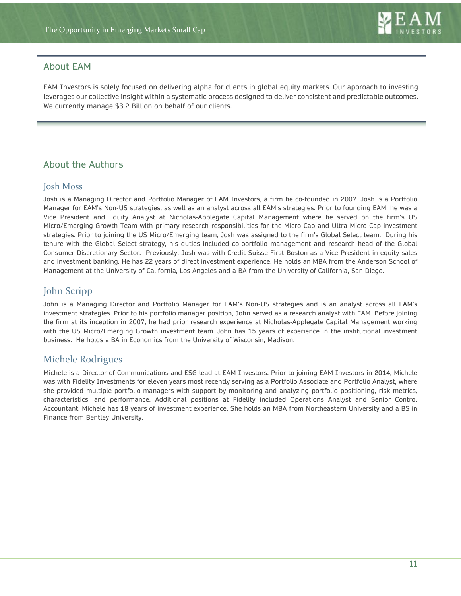## About EAM

EAM Investors is solely focused on delivering alpha for clients in global equity markets. Our approach to investing leverages our collective insight within a systematic process designed to deliver consistent and predictable outcomes. We currently manage \$3.2 Billion on behalf of our clients.

# About the Authors

## Josh Moss

Josh is a Managing Director and Portfolio Manager of EAM Investors, a firm he co-founded in 2007. Josh is a Portfolio Manager for EAM's Non-US strategies, as well as an analyst across all EAM's strategies. Prior to founding EAM, he was a Vice President and Equity Analyst at Nicholas-Applegate Capital Management where he served on the firm's US Micro/Emerging Growth Team with primary research responsibilities for the Micro Cap and Ultra Micro Cap investment strategies. Prior to joining the US Micro/Emerging team, Josh was assigned to the firm's Global Select team. During his tenure with the Global Select strategy, his duties included co-portfolio management and research head of the Global Consumer Discretionary Sector. Previously, Josh was with Credit Suisse First Boston as a Vice President in equity sales and investment banking. He has 22 years of direct investment experience. He holds an MBA from the Anderson School of Management at the University of California, Los Angeles and a BA from the University of California, San Diego.

# John Scripp

John is a Managing Director and Portfolio Manager for EAM's Non-US strategies and is an analyst across all EAM's investment strategies. Prior to his portfolio manager position, John served as a research analyst with EAM. Before joining the firm at its inception in 2007, he had prior research experience at Nicholas-Applegate Capital Management working with the US Micro/Emerging Growth investment team. John has 15 years of experience in the institutional investment business. He holds a BA in Economics from the University of Wisconsin, Madison.

## Michele Rodrigues

Michele is a Director of Communications and ESG lead at EAM Investors. Prior to joining EAM Investors in 2014, Michele was with Fidelity Investments for eleven years most recently serving as a Portfolio Associate and Portfolio Analyst, where she provided multiple portfolio managers with support by monitoring and analyzing portfolio positioning, risk metrics, characteristics, and performance. Additional positions at Fidelity included Operations Analyst and Senior Control Accountant. Michele has 18 years of investment experience. She holds an MBA from Northeastern University and a BS in Finance from Bentley University.